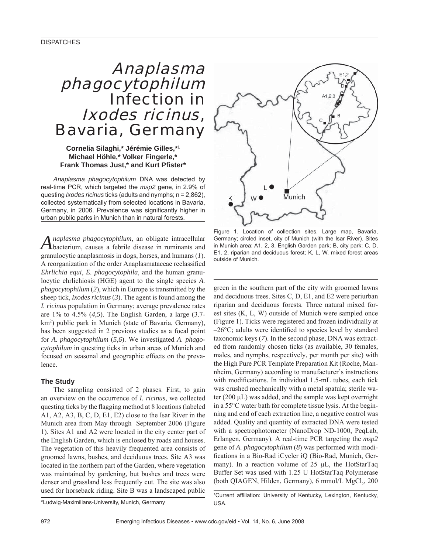# Anaplasma phagocytophilum Infection in Ixodes ricinus, Bavaria, Germany

## **Cornelia Silaghi,\* Jérémie Gilles,\*1 Michael Höhle,\* Volker Fingerle,\* Frank Thomas Just,\* and Kurt Pfi ster\***

*Anaplasma phagocytophilum* DNA was detected by real-time PCR, which targeted the *msp2* gene, in 2.9% of questing *Ixodes ricinus* ticks (adults and nymphs; n = 2,862), collected systematically from selected locations in Bavaria, Germany, in 2006. Prevalence was significantly higher in urban public parks in Munich than in natural forests.

*Anaplasma phagocytophilum*, an obligate intracellular bacterium, causes a febrile disease in ruminants and granulocytic anaplasmosis in dogs, horses, and humans (*1*). A reorganization of the order Anaplasmataceae reclassified *Ehrlichia equi*, *E. phagocytophila,* and the human granulocytic ehrlichiosis (HGE) agent to the single species *A. phagocytophilum* (*2*), which in Europe is transmitted by the sheep tick, *Ixodes ricinus* (*3*). The agent is found among the *I. ricinus* population in Germany; average prevalence rates are 1% to 4.5% (*4*,*5*). The English Garden, a large (3.7 km2 ) public park in Munich (state of Bavaria, Germany), has been suggested in 2 previous studies as a focal point for *A. phagocytophilum* (*5*,*6*). We investigated *A. phagocytophilum* in questing ticks in urban areas of Munich and focused on seasonal and geographic effects on the prevalence.

## **The Study**

The sampling consisted of 2 phases. First, to gain an overview on the occurrence of *I. ricinus,* we collected questing ticks by the flagging method at 8 locations (labeled A1, A2, A3, B, C, D, E1, E2) close to the Isar River in the Munich area from May through September 2006 (Figure 1). Sites A1 and A2 were located in the city center part of the English Garden, which is enclosed by roads and houses. The vegetation of this heavily frequented area consists of groomed lawns, bushes, and deciduous trees. Site A3 was located in the northern part of the Garden, where vegetation was maintained by gardening, but bushes and trees were denser and grassland less frequently cut. The site was also used for horseback riding. Site B was a landscaped public



Figure 1. Location of collection sites. Large map, Bavaria, Germany; circled inset, city of Munich (with the Isar River). Sites in Munich area: A1, 2, 3, English Garden park; B, city park; C, D, E1, 2, riparian and deciduous forest; K, L, W, mixed forest areas outside of Munich.

green in the southern part of the city with groomed lawns and deciduous trees. Sites C, D, E1, and E2 were periurban riparian and deciduous forests. Three natural mixed forest sites (K, L, W) outside of Munich were sampled once (Figure 1). Ticks were registered and frozen individually at  $-26$ °C; adults were identified to species level by standard taxonomic keys (*7*). In the second phase, DNA was extracted from randomly chosen ticks (as available, 30 females, males, and nymphs, respectively, per month per site) with the High Pure PCR Template Preparation Kit (Roche, Mannheim, Germany) according to manufacturer's instructions with modifications. In individual 1.5-mL tubes, each tick was crushed mechanically with a metal spatula; sterile water (200 μL) was added, and the sample was kept overnight in a 55°C water bath for complete tissue lysis. At the beginning and end of each extraction line, a negative control was added. Quality and quantity of extracted DNA were tested with a spectrophotometer (NanoDrop ND-1000, PeqLab, Erlangen, Germany). A real-time PCR targeting the *msp2* gene of *A. phagocytophilum* (*8*) was performed with modifications in a Bio-Rad iCycler iQ (Bio-Rad, Munich, Germany). In a reaction volume of 25 μL, the HotStarTaq Buffer Set was used with 1.25 U HotStarTaq Polymerase (both QIAGEN, Hilden, Germany), 6 mmol/L MgCl<sub>2</sub>, 200

<sup>1</sup>Current affiliation: University of Kentucky, Lexington, Kentucky, USA.

\*Ludwig-Maximilians-University, Munich, Germany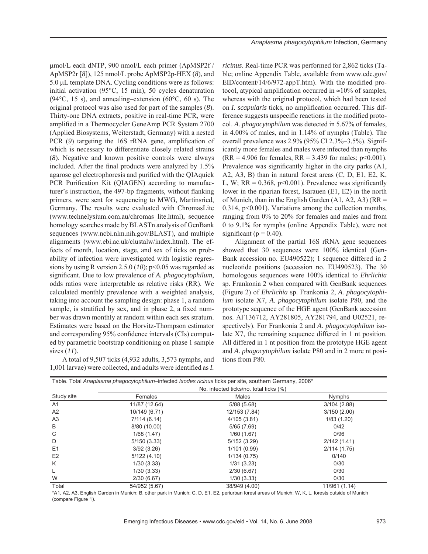μmol/L each dNTP, 900 nmol/L each primer (ApMSP2f / ApMSP2r [*8*]), 125 nmol/L probe ApMSP2p-HEX (*8*), and 5.0 μL template DNA. Cycling conditions were as follows: initial activation (95°C, 15 min), 50 cycles denaturation (94 $\degree$ C, 15 s), and annealing–extension (60 $\degree$ C, 60 s). The original protocol was also used for part of the samples (*8*). Thirty-one DNA extracts, positive in real-time PCR, were amplified in a Thermocycler GeneAmp PCR System 2700 (Applied Biosystems, Weiterstadt, Germany) with a nested PCR (9) targeting the 16S rRNA gene, amplification of which is necessary to differentiate closely related strains (*8*). Negative and known positive controls were always included. After the final products were analyzed by  $1.5\%$ agarose gel electrophoresis and purified with the QIAquick PCR Purification Kit (QIAGEN) according to manufacturer's instruction, the 497-bp fragments, without flanking primers, were sent for sequencing to MWG, Martinsried, Germany. The results were evaluated with ChromasLite (www.technelysium.com.au/chromas\_lite.html), sequence homology searches made by BLAST nanalysis of GenBank sequences (www.ncbi.nlm.nih.gov/BLAST), and multiple alignments (www.ebi.ac.uk/clustalw/index.html). The effects of month, location, stage, and sex of ticks on probability of infection were investigated with logistic regressions by using R version 2.5.0 (*10*); p<0.05 was regarded as significant. Due to low prevalence of *A. phagocytophilum*, odds ratios were interpretable as relative risks (RR). We calculated monthly prevalence with a weighted analysis, taking into account the sampling design: phase 1, a random sample, is stratified by sex, and in phase 2, a fixed number was drawn monthly at random within each sex stratum. Estimates were based on the Horvitz-Thompson estimator and corresponding 95% confidence intervals (CIs) computed by parametric bootstrap conditioning on phase 1 sample sizes (*11*).

A total of 9,507 ticks (4,932 adults, 3,573 nymphs, and 1,001 larvae) were collected, and adults were identified as *I*.

*ricinus*. Real-time PCR was performed for 2,862 ticks (Table; online Appendix Table, available from www.cdc.gov/  $EID/content/14/6/972-appT.htm)$ . With the modified protocol, atypical amplification occurred in  $\approx$ 10% of samples, whereas with the original protocol, which had been tested on *I. scapularis* ticks, no amplification occurred. This difference suggests unspecific reactions in the modified protocol. *A. phagocytophilum* was detected in 5.67% of females, in 4.00% of males, and in 1.14% of nymphs (Table). The overall prevalence was 2.9% (95% CI 2.3%–3.5%). Significantly more females and males were infected than nymphs  $(RR = 4.906$  for females,  $RR = 3.439$  for males;  $p < 0.001$ ). Prevalence was significantly higher in the city parks  $(A1, A2)$ A2, A3, B) than in natural forest areas (C, D, E1, E2, K, L, W;  $RR = 0.368$ ,  $p \le 0.001$ ). Prevalence was significantly lower in the riparian forest, Isarauen (E1, E2) in the north of Munich, than in the English Garden  $(A1, A2, A3)$  (RR = 0.314,  $p<0.001$ ). Variations among the collection months, ranging from 0% to 20% for females and males and from 0 to 9.1% for nymphs (online Appendix Table), were not significant ( $p = 0.40$ ).

Alignment of the partial 16S rRNA gene sequences showed that 30 sequences were 100% identical (Gen-Bank accession no. EU490522); 1 sequence differed in 2 nucleotide positions (accession no. EU490523). The 30 homologous sequences were 100% identical to *Ehrlichia* sp. Frankonia 2 when compared with GenBank sequences (Figure 2) of *Ehrlichia* sp. Frankonia 2, *A. phagocytophilum* isolate X7, *A. phagocytophilum* isolate P80, and the prototype sequence of the HGE agent (GenBank accession nos. AF136712, AY281805, AY281794, and U02521, respectively). For Frankonia 2 and *A. phagocytophilum* isolate X7, the remaining sequence differed in 1 nt position. All differed in 1 nt position from the prototype HGE agent and *A. phagocytophilum* isolate P80 and in 2 more nt positions from P80.

|                |                                        | Table. Total Anaplasma phagocytophilum-infected Ixodes ricinus ticks per site, southern Germany, 2006* |               |  |  |  |
|----------------|----------------------------------------|--------------------------------------------------------------------------------------------------------|---------------|--|--|--|
|                | No. infected ticks/no. total ticks (%) |                                                                                                        |               |  |  |  |
| Study site     | Females                                | Males                                                                                                  | Nymphs        |  |  |  |
| A <sub>1</sub> | 11/87 (12.64)                          | 5/88(5.68)                                                                                             | 3/104(2.88)   |  |  |  |
| A2             | 10/149 (6.71)                          | 12/153 (7.84)                                                                                          | 3/150(2.00)   |  |  |  |
| A <sub>3</sub> | 7/114(6.14)                            | 4/105 (3.81)                                                                                           | 1/83(1.20)    |  |  |  |
| B              | 8/80 (10.00)                           | 5/65(7.69)                                                                                             | 0/42          |  |  |  |
| C              | 1/68(1.47)                             | 1/60(1.67)                                                                                             | 0/96          |  |  |  |
| D              | 5/150(3.33)                            | 5/152(3.29)                                                                                            | 2/142(1.41)   |  |  |  |
| E1             | 3/92(3.26)                             | 1/101(0.99)                                                                                            | 2/114(1.75)   |  |  |  |
| E <sub>2</sub> | 5/122(4.10)                            | 1/134(0.75)                                                                                            | 0/140         |  |  |  |
| K              | 1/30(3.33)                             | 1/31(3.23)                                                                                             | 0/30          |  |  |  |
|                | 1/30(3.33)                             | 2/30(6.67)                                                                                             | 0/30          |  |  |  |
| W              | 2/30(6.67)                             | 1/30(3.33)                                                                                             | 0/30          |  |  |  |
| Total          | 54/952 (5.67)                          | 38/949 (4.00)                                                                                          | 11/961 (1.14) |  |  |  |

\*A1, A2, A3, English Garden in Munich; B, other park in Munich; C, D, E1, E2, periurban forest areas of Munich; W, K, L, forests outside of Munich (compare Figure 1).